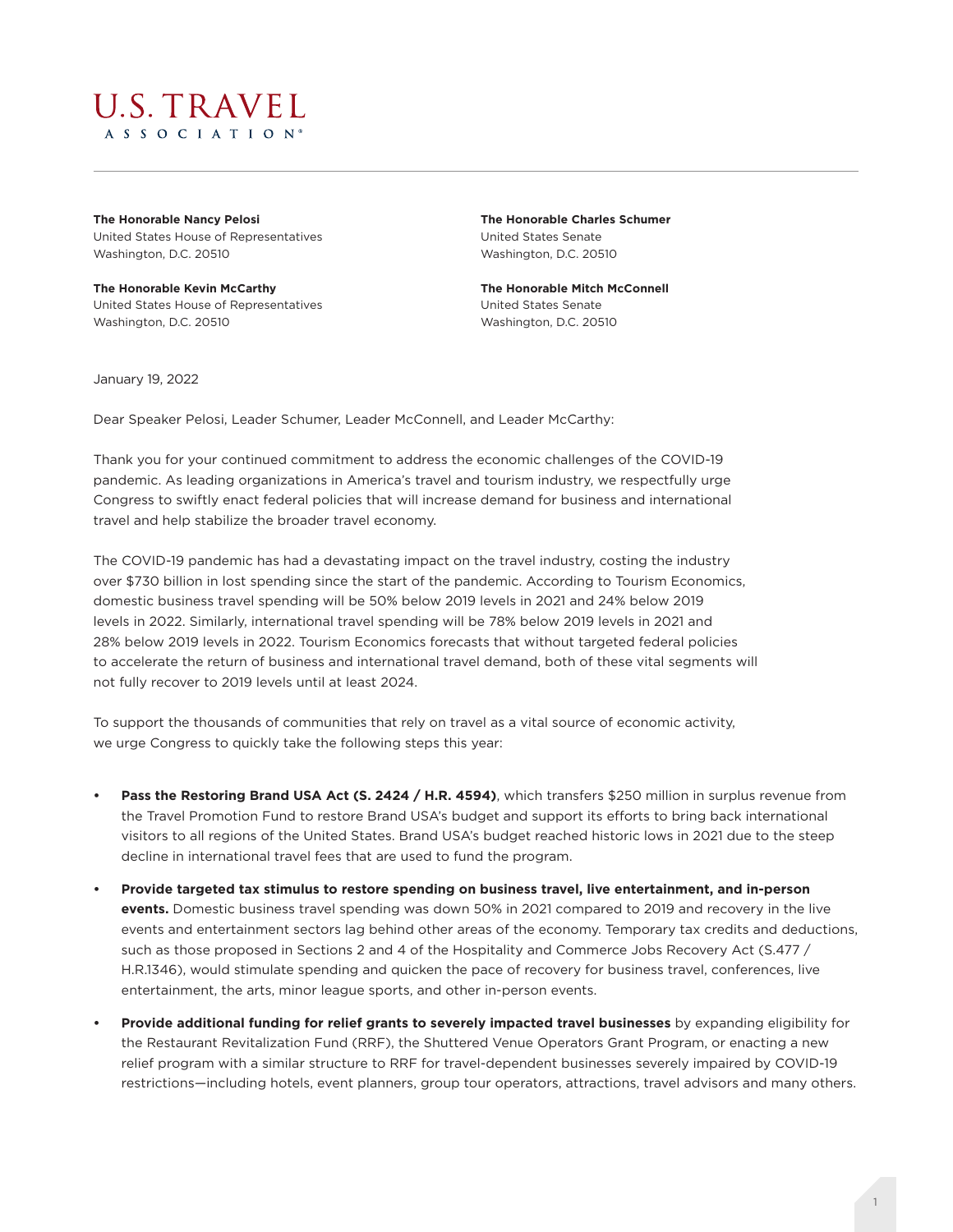

**The Honorable Nancy Pelosi**  United States House of Representatives Washington, D.C. 20510

**The Honorable Kevin McCarthy** United States House of Representatives Washington, D.C. 20510

**The Honorable Charles Schumer** United States Senate Washington, D.C. 20510

**The Honorable Mitch McConnell** United States Senate Washington, D.C. 20510

January 19, 2022

Dear Speaker Pelosi, Leader Schumer, Leader McConnell, and Leader McCarthy:

Thank you for your continued commitment to address the economic challenges of the COVID-19 pandemic. As leading organizations in America's travel and tourism industry, we respectfully urge Congress to swiftly enact federal policies that will increase demand for business and international travel and help stabilize the broader travel economy.

The COVID-19 pandemic has had a devastating impact on the travel industry, costing the industry over \$730 billion in lost spending since the start of the pandemic. According to Tourism Economics, domestic business travel spending will be 50% below 2019 levels in 2021 and 24% below 2019 levels in 2022. Similarly, international travel spending will be 78% below 2019 levels in 2021 and 28% below 2019 levels in 2022. Tourism Economics forecasts that without targeted federal policies to accelerate the return of business and international travel demand, both of these vital segments will not fully recover to 2019 levels until at least 2024.

To support the thousands of communities that rely on travel as a vital source of economic activity, we urge Congress to quickly take the following steps this year:

- **• Pass the Restoring Brand USA Act (S. 2424 / H.R. 4594)**, which transfers \$250 million in surplus revenue from the Travel Promotion Fund to restore Brand USA's budget and support its efforts to bring back international visitors to all regions of the United States. Brand USA's budget reached historic lows in 2021 due to the steep decline in international travel fees that are used to fund the program.
- **• Provide targeted tax stimulus to restore spending on business travel, live entertainment, and in-person events.** Domestic business travel spending was down 50% in 2021 compared to 2019 and recovery in the live events and entertainment sectors lag behind other areas of the economy. Temporary tax credits and deductions, such as those proposed in Sections 2 and 4 of the Hospitality and Commerce Jobs Recovery Act (S.477 / H.R.1346), would stimulate spending and quicken the pace of recovery for business travel, conferences, live entertainment, the arts, minor league sports, and other in-person events.
- **• Provide additional funding for relief grants to severely impacted travel businesses** by expanding eligibility for the Restaurant Revitalization Fund (RRF), the Shuttered Venue Operators Grant Program, or enacting a new relief program with a similar structure to RRF for travel-dependent businesses severely impaired by COVID-19 restrictions—including hotels, event planners, group tour operators, attractions, travel advisors and many others.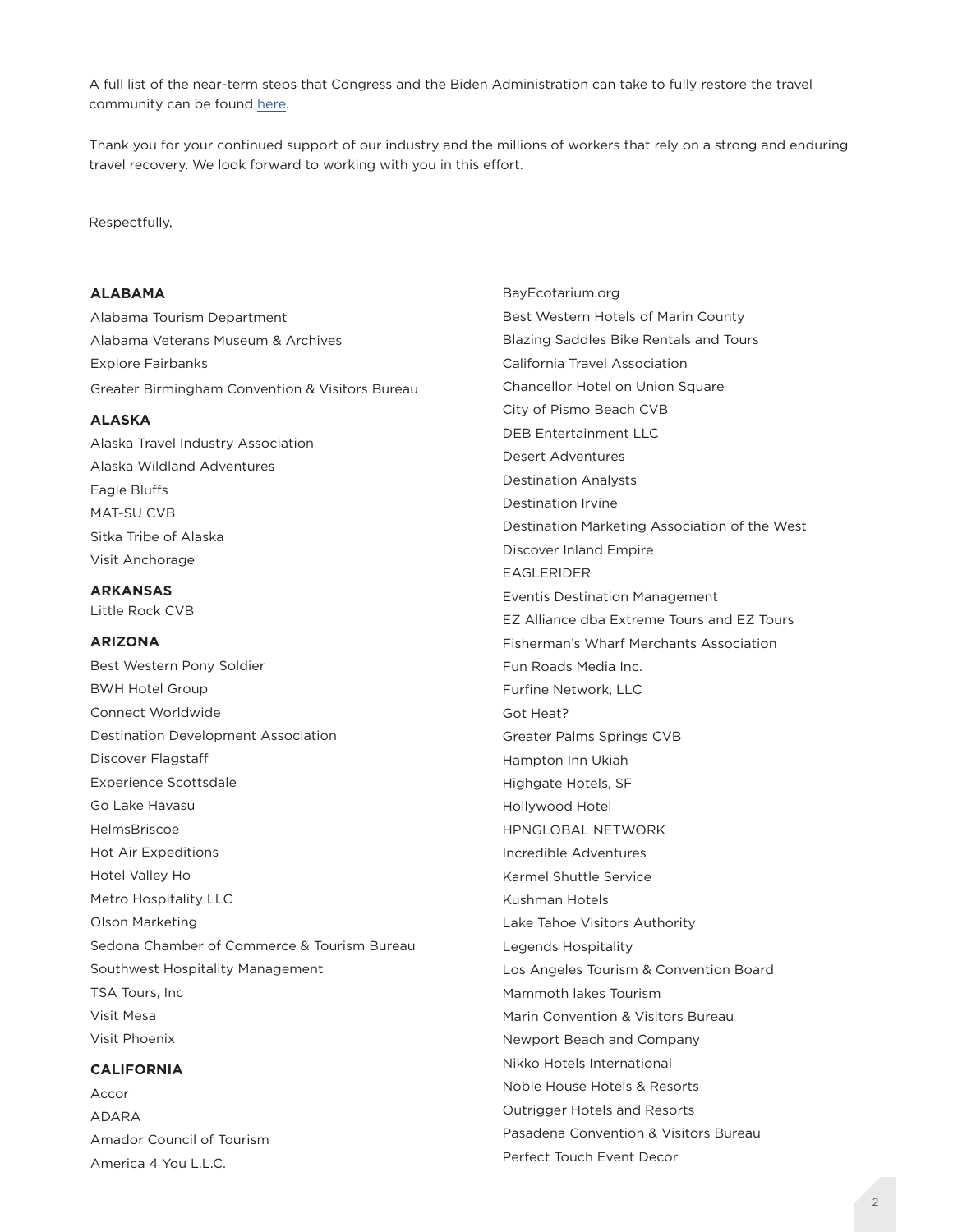A full list of the near-term steps that Congress and the Biden Administration can take to fully restore the travel community can be found here.

Thank you for your continued support of our industry and the millions of workers that rely on a strong and enduring travel recovery. We look forward to working with you in this effort.

#### Respectfully,

## **ALABAMA**

Alabama Tourism Department Alabama Veterans Museum & Archives Explore Fairbanks Greater Birmingham Convention & Visitors Bureau

### **ALASKA**

Alaska Travel Industry Association Alaska Wildland Adventures Eagle Bluffs MAT-SU CVB Sitka Tribe of Alaska Visit Anchorage

**ARKANSAS** Little Rock CVB

## **ARIZONA**

Best Western Pony Soldier BWH Hotel Group Connect Worldwide Destination Development Association Discover Flagstaff Experience Scottsdale Go Lake Havasu HelmsBriscoe Hot Air Expeditions Hotel Valley Ho Metro Hospitality LLC Olson Marketing Sedona Chamber of Commerce & Tourism Bureau Southwest Hospitality Management TSA Tours, Inc Visit Mesa Visit Phoenix

### **CALIFORNIA**

Accor ADARA Amador Council of Tourism America 4 You L.L.C.

BayEcotarium.org Best Western Hotels of Marin County Blazing Saddles Bike Rentals and Tours California Travel Association Chancellor Hotel on Union Square City of Pismo Beach CVB DEB Entertainment LLC Desert Adventures Destination Analysts Destination Irvine Destination Marketing Association of the West Discover Inland Empire EAGLERIDER Eventis Destination Management EZ Alliance dba Extreme Tours and EZ Tours Fisherman's Wharf Merchants Association Fun Roads Media Inc. Furfine Network, LLC Got Heat? Greater Palms Springs CVB Hampton Inn Ukiah Highgate Hotels, SF Hollywood Hotel HPNGLOBAL NETWORK Incredible Adventures Karmel Shuttle Service Kushman Hotels Lake Tahoe Visitors Authority Legends Hospitality Los Angeles Tourism & Convention Board Mammoth lakes Tourism Marin Convention & Visitors Bureau Newport Beach and Company Nikko Hotels International Noble House Hotels & Resorts Outrigger Hotels and Resorts Pasadena Convention & Visitors Bureau Perfect Touch Event Decor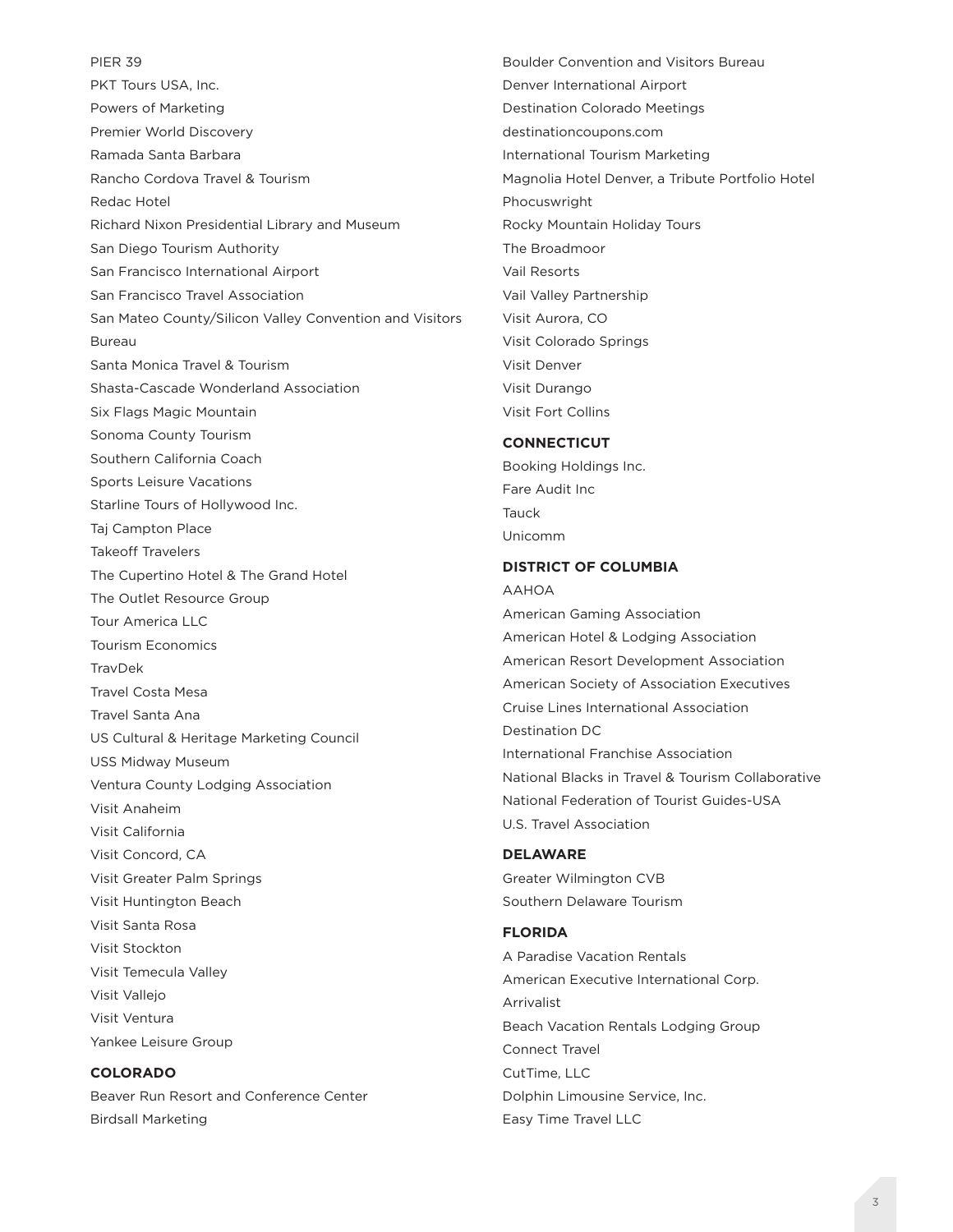PIER 39 PKT Tours USA, Inc. Powers of Marketing Premier World Discovery Ramada Santa Barbara Rancho Cordova Travel & Tourism Redac Hotel Richard Nixon Presidential Library and Museum San Diego Tourism Authority San Francisco International Airport San Francisco Travel Association San Mateo County/Silicon Valley Convention and Visitors Bureau Santa Monica Travel & Tourism Shasta-Cascade Wonderland Association Six Flags Magic Mountain Sonoma County Tourism Southern California Coach Sports Leisure Vacations Starline Tours of Hollywood Inc. Taj Campton Place Takeoff Travelers The Cupertino Hotel & The Grand Hotel The Outlet Resource Group Tour America LLC Tourism Economics TravDek Travel Costa Mesa Travel Santa Ana US Cultural & Heritage Marketing Council USS Midway Museum Ventura County Lodging Association Visit Anaheim Visit California Visit Concord, CA Visit Greater Palm Springs Visit Huntington Beach Visit Santa Rosa Visit Stockton Visit Temecula Valley Visit Vallejo Visit Ventura Yankee Leisure Group **COLORADO**

Beaver Run Resort and Conference Center Birdsall Marketing

Boulder Convention and Visitors Bureau Denver International Airport Destination Colorado Meetings destinationcoupons.com International Tourism Marketing Magnolia Hotel Denver, a Tribute Portfolio Hotel Phocuswright Rocky Mountain Holiday Tours The Broadmoor Vail Resorts Vail Valley Partnership Visit Aurora, CO Visit Colorado Springs Visit Denver Visit Durango Visit Fort Collins

## **CONNECTICUT**

Booking Holdings Inc. Fare Audit Inc Tauck Unicomm

## **DISTRICT OF COLUMBIA**

#### AAHOA

American Gaming Association American Hotel & Lodging Association American Resort Development Association American Society of Association Executives Cruise Lines International Association Destination DC International Franchise Association National Blacks in Travel & Tourism Collaborative National Federation of Tourist Guides-USA U.S. Travel Association

#### **DELAWARE**

Greater Wilmington CVB Southern Delaware Tourism

# **FLORIDA**

A Paradise Vacation Rentals American Executive International Corp. Arrivalist Beach Vacation Rentals Lodging Group Connect Travel CutTime, LLC Dolphin Limousine Service, Inc. Easy Time Travel LLC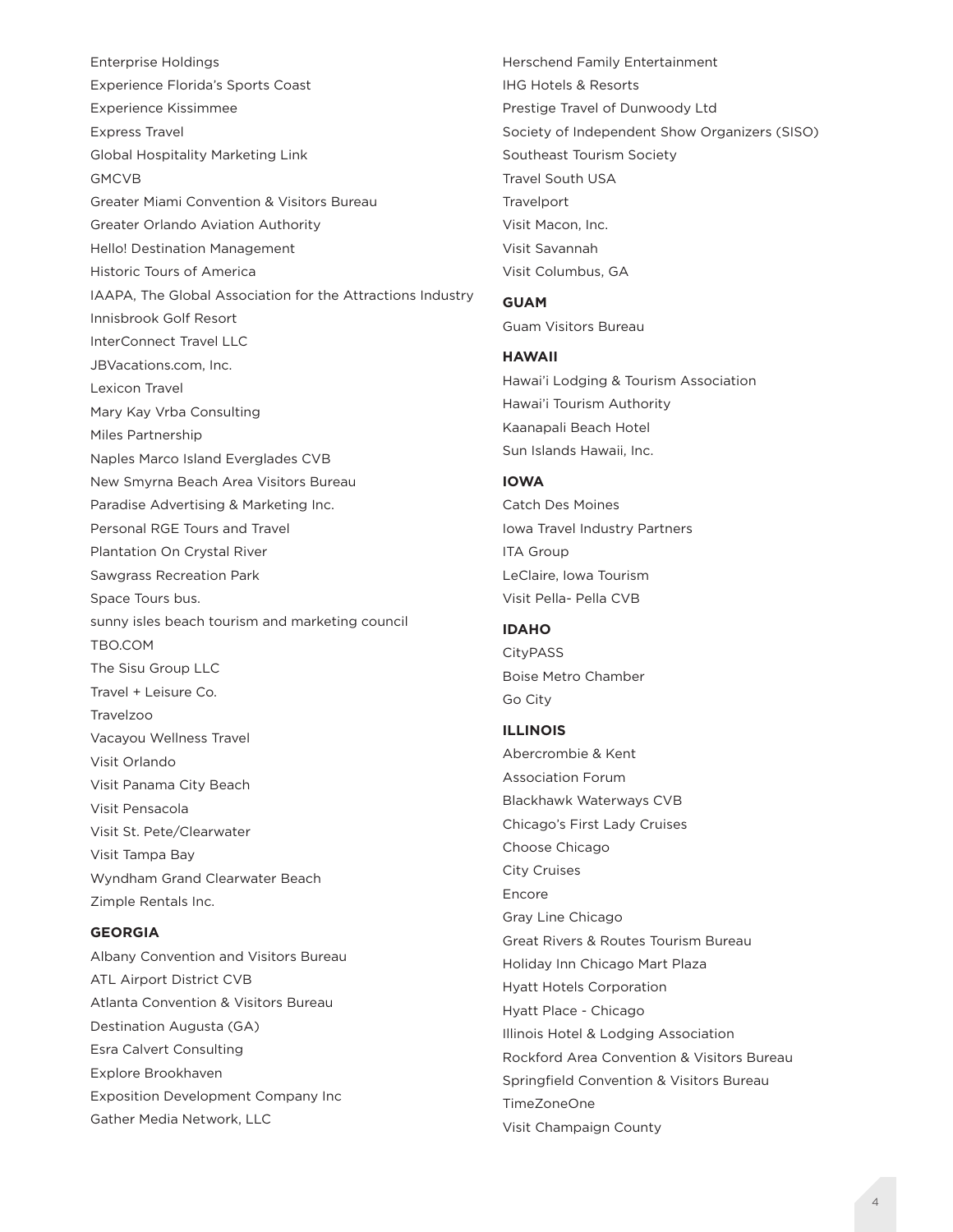Enterprise Holdings Experience Florida's Sports Coast Experience Kissimmee Express Travel Global Hospitality Marketing Link GMCVB Greater Miami Convention & Visitors Bureau Greater Orlando Aviation Authority Hello! Destination Management Historic Tours of America IAAPA, The Global Association for the Attractions Industry Innisbrook Golf Resort InterConnect Travel LLC JBVacations.com, Inc. Lexicon Travel Mary Kay Vrba Consulting Miles Partnership Naples Marco Island Everglades CVB New Smyrna Beach Area Visitors Bureau Paradise Advertising & Marketing Inc. Personal RGE Tours and Travel Plantation On Crystal River Sawgrass Recreation Park Space Tours bus. sunny isles beach tourism and marketing council TBO.COM The Sisu Group LLC Travel + Leisure Co. Travelzoo Vacayou Wellness Travel Visit Orlando Visit Panama City Beach Visit Pensacola Visit St. Pete/Clearwater Visit Tampa Bay Wyndham Grand Clearwater Beach Zimple Rentals Inc.

# **GEORGIA**

Albany Convention and Visitors Bureau ATL Airport District CVB Atlanta Convention & Visitors Bureau Destination Augusta (GA) Esra Calvert Consulting Explore Brookhaven Exposition Development Company Inc Gather Media Network, LLC

Herschend Family Entertainment IHG Hotels & Resorts Prestige Travel of Dunwoody Ltd Society of Independent Show Organizers (SISO) Southeast Tourism Society Travel South USA **Travelport** Visit Macon, Inc. Visit Savannah Visit Columbus, GA

#### **GUAM**

Guam Visitors Bureau

#### **HAWAII**

Hawai'i Lodging & Tourism Association Hawai'i Tourism Authority Kaanapali Beach Hotel Sun Islands Hawaii, Inc.

# **IOWA**

Catch Des Moines Iowa Travel Industry Partners ITA Group LeClaire, Iowa Tourism Visit Pella- Pella CVB

# **IDAHO**

**CityPASS** Boise Metro Chamber Go City

## **ILLINOIS**

Abercrombie & Kent Association Forum Blackhawk Waterways CVB Chicago's First Lady Cruises Choose Chicago City Cruises Encore Gray Line Chicago Great Rivers & Routes Tourism Bureau Holiday Inn Chicago Mart Plaza Hyatt Hotels Corporation Hyatt Place - Chicago Illinois Hotel & Lodging Association Rockford Area Convention & Visitors Bureau Springfield Convention & Visitors Bureau TimeZoneOne Visit Champaign County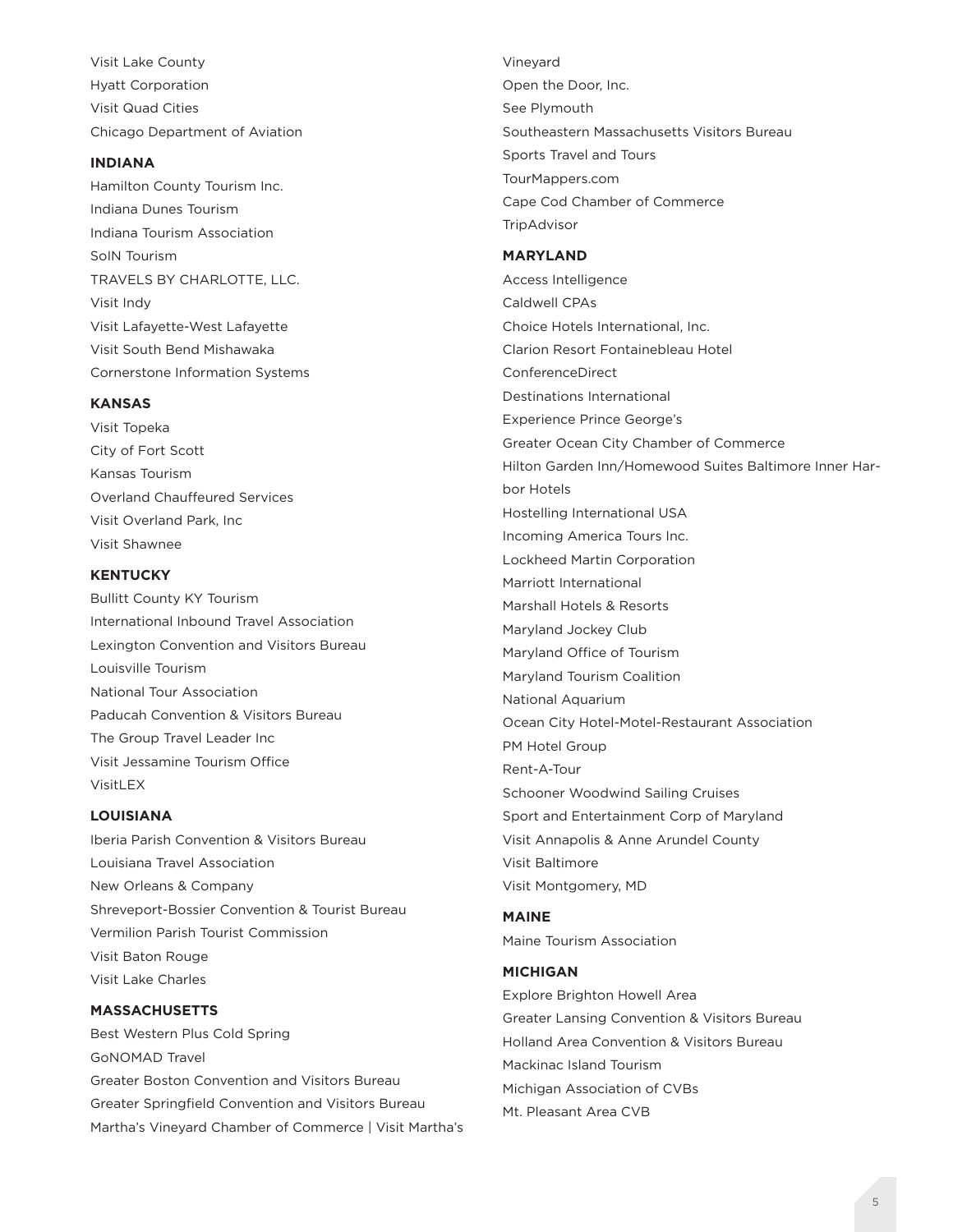Visit Lake County Hyatt Corporation Visit Quad Cities Chicago Department of Aviation

## **INDIANA**

Hamilton County Tourism Inc. Indiana Dunes Tourism Indiana Tourism Association SoIN Tourism TRAVELS BY CHARLOTTE, LLC. Visit Indy Visit Lafayette-West Lafayette Visit South Bend Mishawaka Cornerstone Information Systems

### **KANSAS**

Visit Topeka City of Fort Scott Kansas Tourism Overland Chauffeured Services Visit Overland Park, Inc Visit Shawnee

### **KENTUCKY**

Bullitt County KY Tourism International Inbound Travel Association Lexington Convention and Visitors Bureau Louisville Tourism National Tour Association Paducah Convention & Visitors Bureau The Group Travel Leader Inc Visit Jessamine Tourism Office VisitLEX

#### **LOUISIANA**

Iberia Parish Convention & Visitors Bureau Louisiana Travel Association New Orleans & Company Shreveport-Bossier Convention & Tourist Bureau Vermilion Parish Tourist Commission Visit Baton Rouge Visit Lake Charles

#### **MASSACHUSETTS**

Best Western Plus Cold Spring GoNOMAD Travel Greater Boston Convention and Visitors Bureau Greater Springfield Convention and Visitors Bureau Martha's Vineyard Chamber of Commerce | Visit Martha's Vineyard Open the Door, Inc. See Plymouth Southeastern Massachusetts Visitors Bureau Sports Travel and Tours TourMappers.com Cape Cod Chamber of Commerce

#### **MARYLAND**

**TripAdvisor** 

Access Intelligence Caldwell CPAs Choice Hotels International, Inc. Clarion Resort Fontainebleau Hotel ConferenceDirect Destinations International Experience Prince George's Greater Ocean City Chamber of Commerce Hilton Garden Inn/Homewood Suites Baltimore Inner Harbor Hotels Hostelling International USA Incoming America Tours Inc. Lockheed Martin Corporation Marriott International Marshall Hotels & Resorts Maryland Jockey Club Maryland Office of Tourism Maryland Tourism Coalition National Aquarium Ocean City Hotel-Motel-Restaurant Association PM Hotel Group Rent-A-Tour Schooner Woodwind Sailing Cruises Sport and Entertainment Corp of Maryland Visit Annapolis & Anne Arundel County Visit Baltimore Visit Montgomery, MD

#### **MAINE**

Maine Tourism Association

### **MICHIGAN**

Explore Brighton Howell Area Greater Lansing Convention & Visitors Bureau Holland Area Convention & Visitors Bureau Mackinac Island Tourism Michigan Association of CVBs Mt. Pleasant Area CVB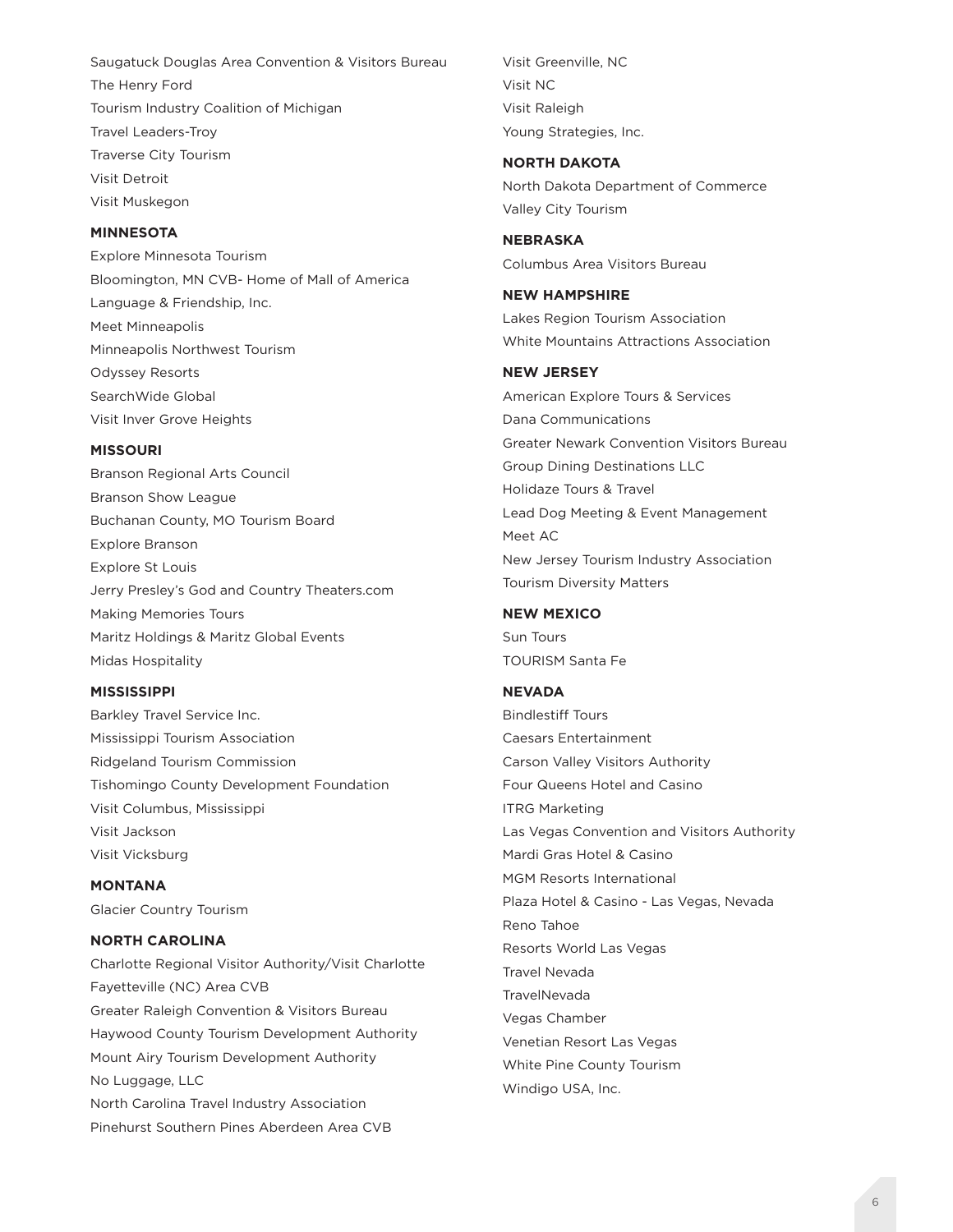Saugatuck Douglas Area Convention & Visitors Bureau The Henry Ford Tourism Industry Coalition of Michigan Travel Leaders-Troy Traverse City Tourism Visit Detroit Visit Muskegon

### **MINNESOTA**

Explore Minnesota Tourism Bloomington, MN CVB- Home of Mall of America Language & Friendship, Inc. Meet Minneapolis Minneapolis Northwest Tourism Odyssey Resorts SearchWide Global Visit Inver Grove Heights

#### **MISSOURI**

Branson Regional Arts Council Branson Show League Buchanan County, MO Tourism Board Explore Branson Explore St Louis Jerry Presley's God and Country Theaters.com Making Memories Tours Maritz Holdings & Maritz Global Events Midas Hospitality

## **MISSISSIPPI**

Barkley Travel Service Inc. Mississippi Tourism Association Ridgeland Tourism Commission Tishomingo County Development Foundation Visit Columbus, Mississippi Visit Jackson Visit Vicksburg

**MONTANA** Glacier Country Tourism

## **NORTH CAROLINA**

Charlotte Regional Visitor Authority/Visit Charlotte Fayetteville (NC) Area CVB Greater Raleigh Convention & Visitors Bureau Haywood County Tourism Development Authority Mount Airy Tourism Development Authority No Luggage, LLC North Carolina Travel Industry Association Pinehurst Southern Pines Aberdeen Area CVB

Visit Greenville, NC Visit NC Visit Raleigh Young Strategies, Inc.

### **NORTH DAKOTA**

North Dakota Department of Commerce Valley City Tourism

**NEBRASKA** Columbus Area Visitors Bureau

#### **NEW HAMPSHIRE**

Lakes Region Tourism Association White Mountains Attractions Association

#### **NEW JERSEY**

American Explore Tours & Services Dana Communications Greater Newark Convention Visitors Bureau Group Dining Destinations LLC Holidaze Tours & Travel Lead Dog Meeting & Event Management Meet AC New Jersey Tourism Industry Association Tourism Diversity Matters

## **NEW MEXICO**

Sun Tours TOURISM Santa Fe

# **NEVADA**

Bindlestiff Tours Caesars Entertainment Carson Valley Visitors Authority Four Queens Hotel and Casino ITRG Marketing Las Vegas Convention and Visitors Authority Mardi Gras Hotel & Casino MGM Resorts International Plaza Hotel & Casino - Las Vegas, Nevada Reno Tahoe Resorts World Las Vegas Travel Nevada **TravelNevada** Vegas Chamber Venetian Resort Las Vegas White Pine County Tourism Windigo USA, Inc.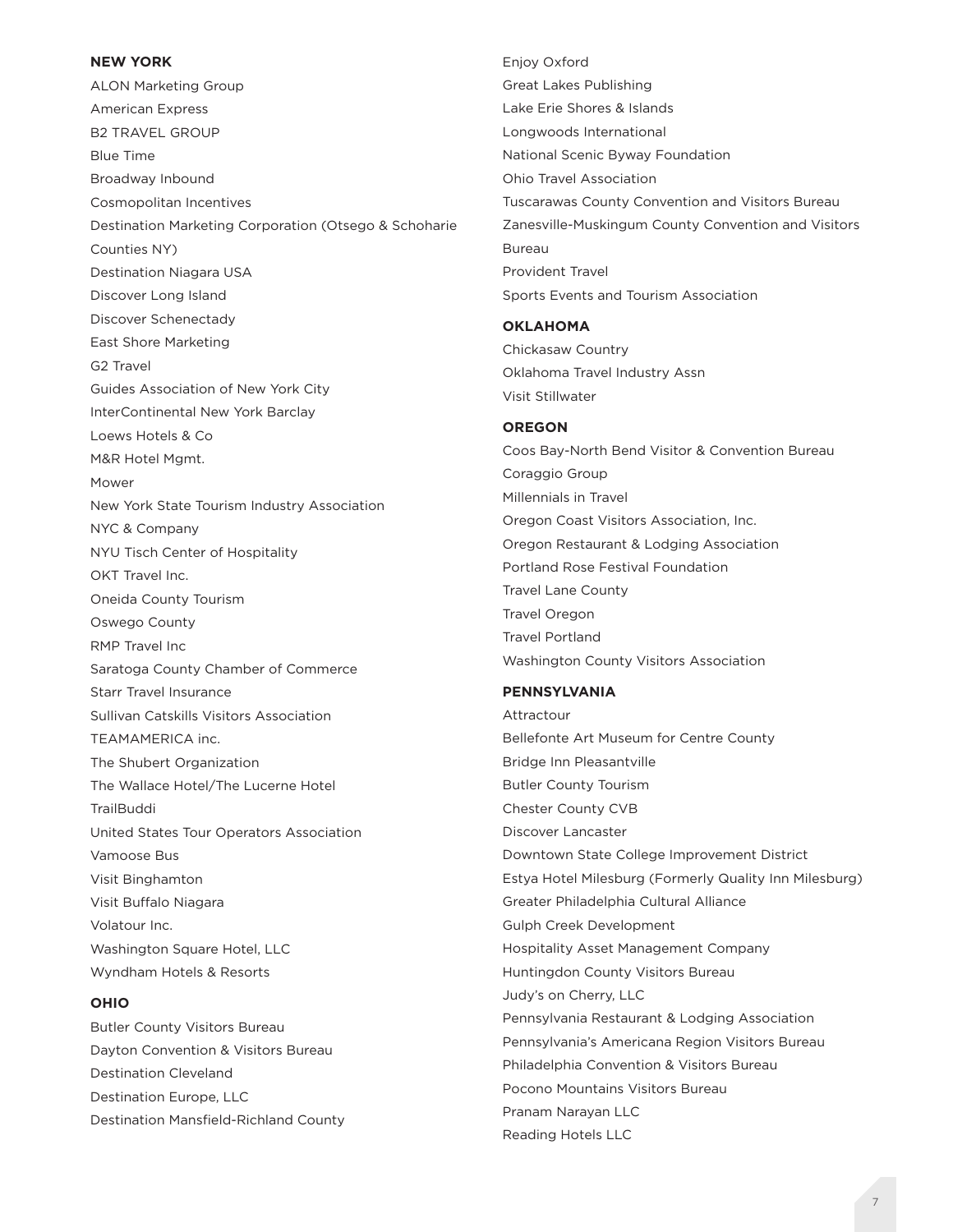## **NEW YORK**

ALON Marketing Group American Express B2 TRAVEL GROUP Blue Time Broadway Inbound Cosmopolitan Incentives Destination Marketing Corporation (Otsego & Schoharie Counties NY) Destination Niagara USA Discover Long Island Discover Schenectady East Shore Marketing G2 Travel Guides Association of New York City InterContinental New York Barclay Loews Hotels & Co M&R Hotel Mgmt. Mower New York State Tourism Industry Association NYC & Company NYU Tisch Center of Hospitality OKT Travel Inc. Oneida County Tourism Oswego County RMP Travel Inc Saratoga County Chamber of Commerce Starr Travel Insurance Sullivan Catskills Visitors Association TEAMAMERICA inc. The Shubert Organization The Wallace Hotel/The Lucerne Hotel **TrailBuddi** United States Tour Operators Association Vamoose Bus Visit Binghamton Visit Buffalo Niagara Volatour Inc. Washington Square Hotel, LLC Wyndham Hotels & Resorts

### **OHIO**

Butler County Visitors Bureau Dayton Convention & Visitors Bureau Destination Cleveland Destination Europe, LLC Destination Mansfield-Richland County Enjoy Oxford Great Lakes Publishing Lake Erie Shores & Islands Longwoods International National Scenic Byway Foundation Ohio Travel Association Tuscarawas County Convention and Visitors Bureau Zanesville-Muskingum County Convention and Visitors Bureau Provident Travel Sports Events and Tourism Association

#### **OKLAHOMA**

Chickasaw Country Oklahoma Travel Industry Assn Visit Stillwater

### **OREGON**

Coos Bay-North Bend Visitor & Convention Bureau Coraggio Group Millennials in Travel Oregon Coast Visitors Association, Inc. Oregon Restaurant & Lodging Association Portland Rose Festival Foundation Travel Lane County Travel Oregon Travel Portland Washington County Visitors Association

# **PENNSYLVANIA**

Attractour Bellefonte Art Museum for Centre County Bridge Inn Pleasantville Butler County Tourism Chester County CVB Discover Lancaster Downtown State College Improvement District Estya Hotel Milesburg (Formerly Quality Inn Milesburg) Greater Philadelphia Cultural Alliance Gulph Creek Development Hospitality Asset Management Company Huntingdon County Visitors Bureau Judy's on Cherry, LLC Pennsylvania Restaurant & Lodging Association Pennsylvania's Americana Region Visitors Bureau Philadelphia Convention & Visitors Bureau Pocono Mountains Visitors Bureau Pranam Narayan LLC Reading Hotels LLC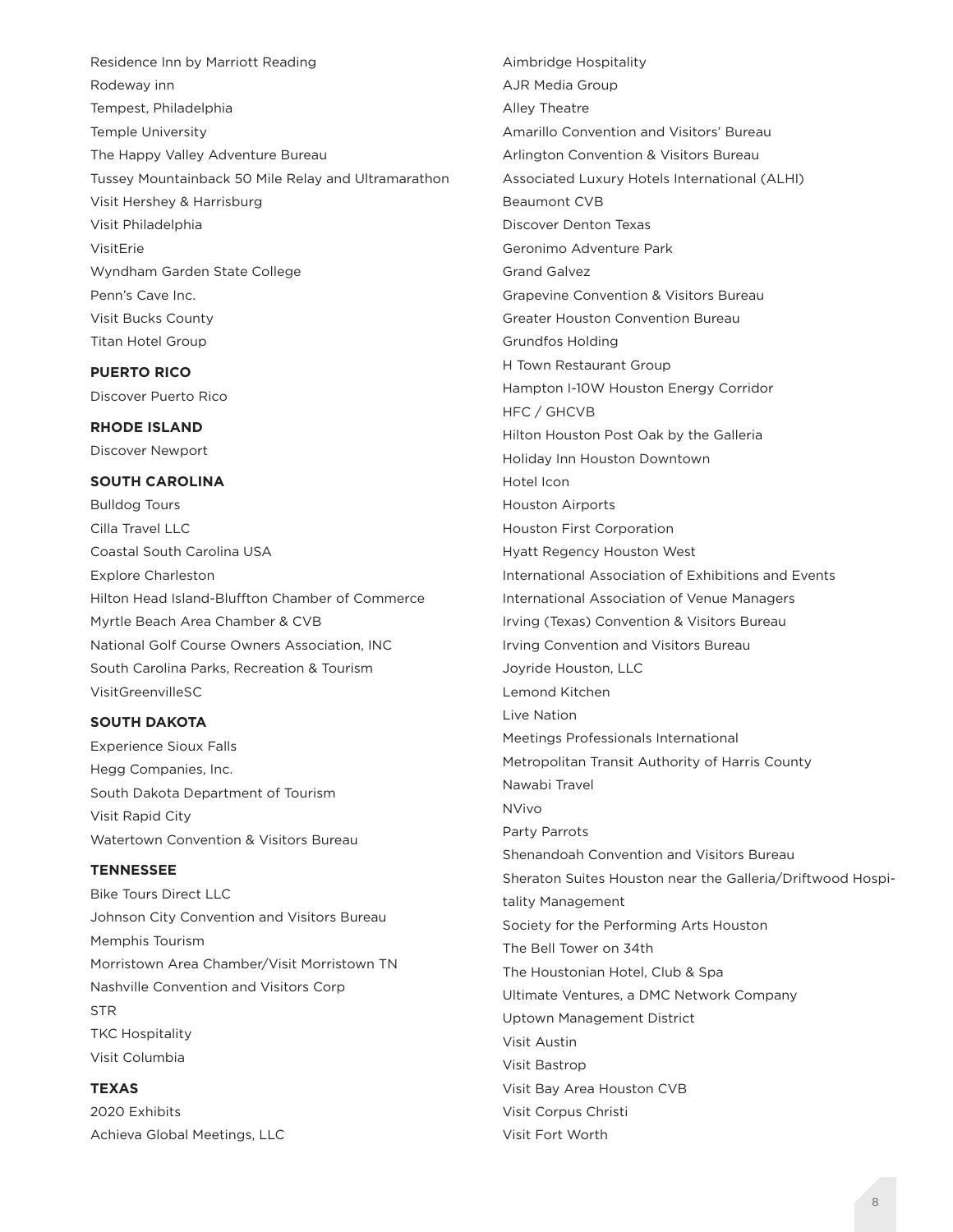Residence Inn by Marriott Reading Rodeway inn Tempest, Philadelphia Temple University The Happy Valley Adventure Bureau Tussey Mountainback 50 Mile Relay and Ultramarathon Visit Hershey & Harrisburg Visit Philadelphia VisitErie Wyndham Garden State College Penn's Cave Inc. Visit Bucks County Titan Hotel Group

#### **PUERTO RICO**

Discover Puerto Rico

## **RHODE ISLAND**

Discover Newport

## **SOUTH CAROLINA**

Bulldog Tours Cilla Travel LLC Coastal South Carolina USA Explore Charleston Hilton Head Island-Bluffton Chamber of Commerce Myrtle Beach Area Chamber & CVB National Golf Course Owners Association, INC South Carolina Parks, Recreation & Tourism VisitGreenvilleSC

#### **SOUTH DAKOTA**

Experience Sioux Falls Hegg Companies, Inc. South Dakota Department of Tourism Visit Rapid City Watertown Convention & Visitors Bureau

# **TENNESSEE**

Bike Tours Direct LLC Johnson City Convention and Visitors Bureau Memphis Tourism Morristown Area Chamber/Visit Morristown TN Nashville Convention and Visitors Corp STR TKC Hospitality Visit Columbia

# **TEXAS**

2020 Exhibits Achieva Global Meetings, LLC AJR Media Group Alley Theatre Amarillo Convention and Visitors' Bureau Arlington Convention & Visitors Bureau Associated Luxury Hotels International (ALHI) Beaumont CVB Discover Denton Texas Geronimo Adventure Park Grand Galvez Grapevine Convention & Visitors Bureau Greater Houston Convention Bureau Grundfos Holding H Town Restaurant Group Hampton I-10W Houston Energy Corridor HFC / GHCVB Hilton Houston Post Oak by the Galleria Holiday Inn Houston Downtown Hotel Icon Houston Airports Houston First Corporation Hyatt Regency Houston West International Association of Exhibitions and Events International Association of Venue Managers Irving (Texas) Convention & Visitors Bureau Irving Convention and Visitors Bureau Joyride Houston, LLC Lemond Kitchen Live Nation Meetings Professionals International Metropolitan Transit Authority of Harris County Nawabi Travel NVivo Party Parrots Shenandoah Convention and Visitors Bureau Sheraton Suites Houston near the Galleria/Driftwood Hospitality Management Society for the Performing Arts Houston The Bell Tower on 34th The Houstonian Hotel, Club & Spa Ultimate Ventures, a DMC Network Company Uptown Management District Visit Austin Visit Bastrop Visit Bay Area Houston CVB Visit Corpus Christi Visit Fort Worth

Aimbridge Hospitality